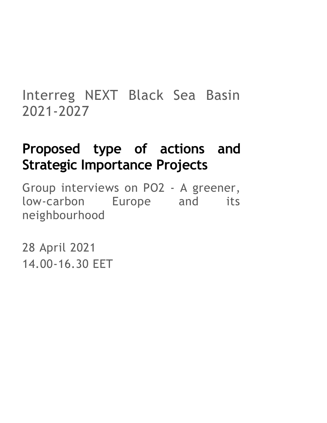# Interreg NEXT Black Sea Basin 2021-2027

# **Proposed type of actions and Strategic Importance Projects**

Group interviews on PO2 - A greener, low-carbon Europe and its neighbourhood

28 April 2021 14.00-16.30 EET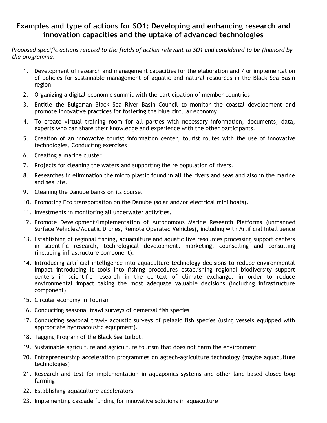## **Examples and type of actions for SO1: Developing and enhancing research and innovation capacities and the uptake of advanced technologies**

*Proposed specific actions related to the fields of action relevant to SO1 and considered to be financed by the programme:*

- 1. Development of research and management capacities for the elaboration and / or implementation of policies for sustainable management of aquatic and natural resources in the Black Sea Basin region
- 2. Organizing a digital economic summit with the participation of member countries
- 3. Entitle the Bulgarian Black Sea River Basin Council to monitor the coastal development and promote innovative practices for fostering the blue circular economy
- 4. To create virtual training room for all parties with necessary information, documents, data, experts who can share their knowledge and experience with the other participants.
- 5. Creation of an innovative tourist information center, tourist routes with the use of innovative technologies, Conducting exercises
- 6. Creating a marine cluster
- 7. Projects for cleaning the waters and supporting the re population of rivers.
- 8. Researches in elimination the micro plastic found in all the rivers and seas and also in the marine and sea life.
- 9. Cleaning the Danube banks on its course.
- 10. Promoting Eco transportation on the Danube (solar and/or electrical mini boats).
- 11. Investments in monitoring all underwater activities.
- 12. Promote Development/Implementation of Autonomous Marine Research Platforms (unmanned Surface Vehicles/Aquatic Drones, Remote Operated Vehicles), including with Artificial Intelligence
- 13. Establishing of regional fishing, aquaculture and aquatic live resources processing support centers in scientific research, technological development, marketing, counselling and consulting (including infrastructure component).
- 14. Introducing artificial intelligence into aquaculture technology decisions to reduce environmental impact introducing it tools into fishing procedures establishing regional biodiversity support centers in scientific research in the context of climate exchange, in order to reduce environmental impact taking the most adequate valuable decisions (including infrastructure component).
- 15. Circular economy in Tourism
- 16. Conducting seasonal trawl surveys of demersal fish species
- 17. Conducting seasonal trawl- acoustic surveys of pelagic fish species (using vessels equipped with appropriate hydroacoustic equipment).
- 18. Tagging Program of the Black Sea turbot.
- 19. Sustainable agriculture and agriculture tourism that does not harm the environment
- 20. Entrepreneurship acceleration programmes on agtech-agriculture technology (maybe aquaculture technologies)
- 21. Research and test for implementation in aquaponics systems and other land-based closed-loop farming
- 22. Establishing aquaculture accelerators
- 23. Implementing cascade funding for innovative solutions in aquaculture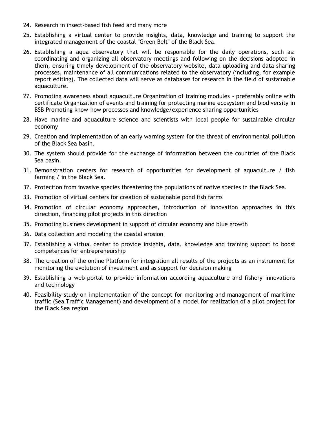- 24. Research in insect-based fish feed and many more
- 25. Establishing a virtual center to provide insights, data, knowledge and training to support the integrated management of the coastal "Green Belt" of the Black Sea.
- 26. Establishing a aqua observatory that will be responsible for the daily operations, such as: coordinating and organizing all observatory meetings and following on the decisions adopted in them, ensuring timely development of the observatory website, data uploading and data sharing processes, maintenance of all communications related to the observatory (including, for example report editing). The collected data will serve as databases for research in the field of sustainable aquaculture.
- 27. Promoting awareness about aquaculture Organization of training modules preferably online with certificate Organization of events and training for protecting marine ecosystem and biodiversity in BSB Promoting know-how processes and knowledge/experience sharing opportunities
- 28. Have marine and aquaculture science and scientists with local people for sustainable circular economy
- 29. Creation and implementation of an early warning system for the threat of environmental pollution of the Black Sea basin.
- 30. The system should provide for the exchange of information between the countries of the Black Sea basin.
- 31. Demonstration centers for research of opportunities for development of aquaculture / fish farming / in the Black Sea.
- 32. Protection from invasive species threatening the populations of native species in the Black Sea.
- 33. Promotion of virtual centers for creation of sustainable pond fish farms
- 34. Promotion of circular economy approaches, introduction of innovation approaches in this direction, financing pilot projects in this direction
- 35. Promoting business development in support of circular economy and blue growth
- 36. Data collection and modeling the coastal erosion
- 37. Establishing a virtual center to provide insights, data, knowledge and training support to boost competences for entrepreneurship
- 38. The creation of the online Platform for integration all results of the projects as an instrument for monitoring the evolution of investment and as support for decision making
- 39. Establishing a web-portal to provide information according aquaculture and fishery innovations and technology
- 40. Feasibility study on implementation of the concept for monitoring and management of maritime traffic (Sea Traffic Management) and development of a model for realization of a pilot project for the Black Sea region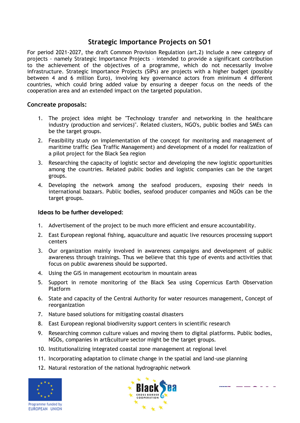### **Strategic Importance Projects on SO1**

For period 2021-2027, the draft Common Provision Regulation (art.2) include a new category of projects - namely Strategic Importance Projects – intended to provide a significant contribution to the achievement of the objectives of a programme, which do not necessarily involve infrastructure. Strategic Importance Projects (SIPs) are projects with a higher budget (possibly between 4 and 6 million Euro), involving key governance actors from minimum 4 different countries, which could bring added value by ensuring a deeper focus on the needs of the cooperation area and an extended impact on the targeted population.

#### **Concreate proposals:**

- 1. The project idea might be "Technology transfer and networking in the healthcare industry (production and services)". Related clusters, NGO's, public bodies and SMEs can be the target groups.
- 2. Feasibility study on implementation of the concept for monitoring and management of maritime traffic (Sea Traffic Management) and development of a model for realization of a pilot project for the Black Sea region
- 3. Researching the capacity of logistic sector and developing the new logistic opportunities among the countries. Related public bodies and logistic companies can be the target groups.
- 4. Developing the network among the seafood producers, exposing their needs in international bazaars. Public bodies, seafood producer companies and NGOs can be the target groups.

#### **Ideas to be further developed:**

- 1. Advertisement of the project to be much more efficient and ensure accountability.
- 2. East European regional fishing, aquaculture and aquatic live resources processing support centers
- 3. Our organization mainly involved in awareness campaigns and development of public awareness through trainings. Thus we believe that this type of events and activities that focus on public awareness should be supported.
- 4. Using the GIS in management ecotourism in mountain areas
- 5. Support in remote monitoring of the Black Sea using Copernicus Earth Observation Platform
- 6. State and capacity of the Central Authority for water resources management, Concept of reorganization
- 7. Nature based solutions for mitigating coastal disasters
- 8. East European regional biodiversity support centers in scientific research
- 9. Researching common culture values and moving them to digital platforms. Public bodies, NGOs, companies in art&culture sector might be the target groups.
- 10. Institutionalizing integrated coastal zone management at regional level
- 11. Incorporating adaptation to climate change in the spatial and land-use planning
- 12. Natural restoration of the national hydrographic network